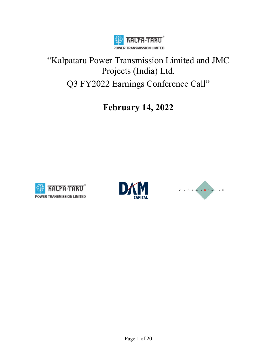

# "Kalpataru Power Transmission Limited and JMC Projects (India) Ltd. Q3 FY2022 Earnings Conference Call"

**February 14, 2022** 





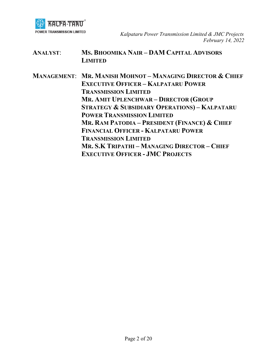

| <b>ANALYST:</b> | MS. BHOOMIKA NAIR-DAM CAPITAL ADVISORS |
|-----------------|----------------------------------------|
|                 | <b>LIMITED</b>                         |

**MANAGEMENT**: **MR. MANISH MOHNOT – MANAGING DIRECTOR & CHIEF EXECUTIVE OFFICER – KALPATARU POWER TRANSMISSION LIMITED MR. AMIT UPLENCHWAR – DIRECTOR (GROUP STRATEGY & SUBSIDIARY OPERATIONS) – KALPATARU POWER TRANSMISSION LIMITED MR. RAM PATODIA – PRESIDENT (FINANCE) & CHIEF FINANCIAL OFFICER - KALPATARU POWER TRANSMISSION LIMITED MR. S.K TRIPATHI – MANAGING DIRECTOR – CHIEF EXECUTIVE OFFICER - JMC PROJECTS**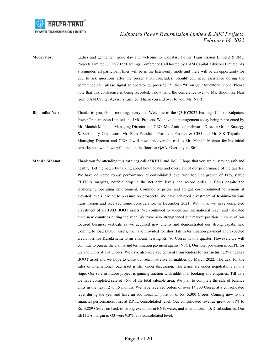

- **Moderator:** Ladies and gentlemen, good day and welcome to Kalpataru Power Transmission Limited & JMC Projects Limited Q3 FY2022 Earnings Conference Call hosted by DAM Capital Advisors Limited. As a reminder, all participant lines will be in the listen-only mode and there will be an opportunity for you to ask questions after the presentation concludes. Should you need assistance during the conference call, please signal an operator by pressing "\*" then "0" on your touchtone phone. Please note that this conference is being recorded. I now hand the conference over to Ms. Bhoomika Nair from DAM Capital Advisors Limited. Thank you and over to you, Ms. Nair!
- **Bhoomika Nair:** Thanks to you. Good morning, everyone. Welcome to the Q3 FY2022 Earnings Call of Kalpataru Power Transmission Limited and JMC Projects. We have the management today being represented by Mr. Manish Mohnot - Managing Director and CEO, Mr. Amit Uplenchwar – Director Group Strategy & Subsidiary Operations, Mr. Ram Patodia – President Finance & CFO and Mr. S.K Tripathi – Managing Director and CEO. I will now handover the call to Mr. Manish Mohnot for his initial remarks post which we will open up the floor for Q&A. Over to you, Sir!
- **Manish Mohnot:** Thank you for attending this earnings call of KPTL and JMC. I hope that you are all staying safe and healthy. Let me begin by talking about key updates and overview of our performance of the quarter. We have delivered robust performance at consolidated level with top line growth of 11%, stable EBITDA margins, notable drop in the net debt levels and record order in flows despite the challenging operating environment. Commodity prices and freight cost continued to remain at elevated levels leading to pressure on prospects. We have achieved divestment of Kohima-Mariani transmission and received some consideration in December 2021. With this, we have completed divestment of all T&D BOOT assets. We continued to widen our international reach and validated three new countries during the year. We have also strengthened our market position in some of our focused business verticals as we acquired new clients and demonstrated our strong capabilities. Coming to road BOOT assets, we have provided for short fall in termination payment and expected credit loss for Kurukshetra to an amount nearing Rs. 86 Crores in this quarter. However, we will continue to pursue the claims and termination payment against NSGI. Our total provision in KEPL for Q2 and Q3 is at 364 Crores. We have also received consent from lenders for restructuring Wainganga BOOT asset and we hope to close our administrative formalities by March 2022. The deal for the sales of international road asset is still under discussion. The terms are under negotiations at this stage. Our sale in Indore project is gaining traction with additional booking and enquiries. Till date we have completed sale of 45% of the total saleable area. We plan to complete the sale of balance units in the next 12 to 15 months. We have received orders of over 14,300 Crores at a consolidated level during the year and have an additional L1 position of Rs. 5,300 Crores. Coming now to the financial performance, first at KPTL consolidated level. Our consolidated revenue grew by 11% to Rs. 3,889 Crores on back of strong execution in BNF, water, and international T&D subsidiaries. Our EBITDA margin in Q3 were 9.3%, at a consolidated level.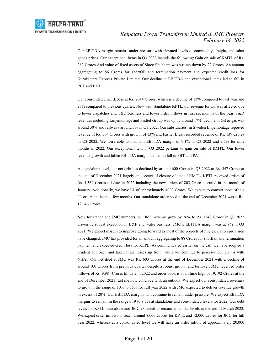

Our EBITDA margin remains under pressure with elevated levels of commodity, freight, and other goods prices. Our exceptional items in Q3 2022 include the following: Gain on sale of KMTL of Rs. 262 Crores And value of fixed assets of Shree Shubham was written down by 22 Crores. An amount aggregating to 86 Crores for shortfall and termination payment and expected credit loss for Kurukshetra Express Private Limited. Our decline in EBITDA and exceptional items led to fall in PBT and PAT.

 Our consolidated net debt is at Rs. 2044 Crores, which is a decline of 13% compared to last year and 27% compared to previous quarter. Now with standalone KPTL, our revenue for Q3 was affected due to lower dispatches and T&D business and lower order inflows in first six months of the year. T&D revenues including Linjemontage and Fasttel Group was up by around 17%, decline in Oil & gas was around 30% and railways around 7% in Q3 2022. Our subsidiaries: in Sweden Linjemontage reported revenue of Rs. 364 Crores with growth of 13% and Fasttel Brazil recorded revenue of Rs. 139 Crores in Q3 2022. We were able to maintain EBITDA margin of 9.1% in Q3 2022 and 9.5% for nine months in 2022. Our exceptional item in Q3 2022 pertains to gain on sale of KMTL. Our lower revenue growth and fallen EBITDA margin had led to fall in PBT and PAT.

 At standalone level, our net debt has declined by around 600 Crores in Q3 2022 to Rs. 547 Crores at the end of December 2021 largely on account of closure of sale of KMTL. KPTL received orders of Rs. 4,364 Crores till date in 2022 including the new orders of 803 Crores secured in the month of January. Additionally, we have L1 of approximately 4000 Crores. We expect to convert most of this L1 orders in the next few months. Our standalone order book at the end of December 2021 was at Rs. 12,646 Crores.

 Now for standalone JMC numbers, our JMC revenue grew by 26% to Rs. 1348 Crores in Q3 2022 driven by robust execution in B&F and water business. JMC's EBITDA margin was at 9% in Q3 2021. We expect margin to improve going forward as most of the projects of fine escalation provision have changed. JMC has provided for an amount aggregating to 88 Crores for shortfall and termination payment and expected credit loss for KEPL. As communicated earlier on the call, we have adopted a prudent approach and taken these losses up front, while we continue to perceive our claims with NHAI. Our net debt at JMC was Rs. 603 Crores at the end of December 2021 with a decline of around 100 Crores from previous quarter despite a robust growth and turnover. JMC received order inflows of Rs. 9,984 Crores till date in 2022 and order book is at all time high of 19,192 Crores at the end of December 2021. Let me now conclude with an outlook. We expect our consolidated revenues to grow in the range of 10% to 15% for full year 2022 with JMC expected to deliver revenue growth in excess of 20%. Our EBITDA margins will continue to remain under pressure. We expect EBITDA margins to remain in the range of 9 to 9.5% at standalone and consolidated levels for 2022. Our debt levels for KPTL standalone and JMC expected to remain at similar levels at the end of March 2022. We expect order inflows to reach around 8,000 Crores for KPTL and 12,000 Crores for JMC for full year 2022, whereas at a consolidated level we will have an order inflow of approximately 20,000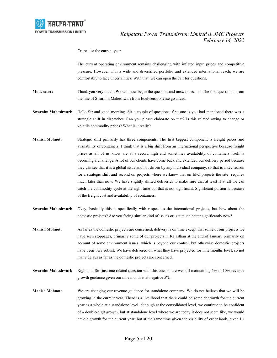

Crores for the current year.

 The current operating environment remains challenging with inflated input prices and competitive pressure. However with a wide and diversified portfolio and extended international reach, we are comfortably to face uncertainties. With that, we can open the call for questions.

**Moderator:** Thank you very much. We will now begin the question-and-answer session. The first question is from the line of Swarnim Maheshwari from Edelweiss. Please go ahead.

**Swarnim Maheshwari:** Hello Sir and good morning. Sir a couple of questions; first one is you had mentioned there was a strategic shift in dispatches. Can you please elaborate on that? Is this related owing to change or volatile commodity prices? What is it really?

- **Manish Mohnot:** Strategic shift primarily has three components. The first biggest component is freight prices and availability of containers. I think that is a big shift from an international perspective because freight prices as all of us know are at a record high and sometimes availability of containers itself is becoming a challenge. A lot of our clients have come back and extended our delivery period because they can see that it is a global issue and not driven by any individual company, so that is a key reason for a strategic shift and second on projects where we know that on EPC projects the site requires much later than now. We have slightly shifted deliveries to make sure that at least if at all we can catch the commodity cycle at the right time but that is not significant. Significant portion is because of the freight cost and availability of containers.
- **Swarnim Maheshwari:** Okay, basically this is specifically with respect to the international projects, but how about the domestic projects? Are you facing similar kind of issues or is it much better significantly now?
- **Manish Mohnot:** As far as the domestic projects are concerned, delivery is on time except that some of our projects we have seen stoppages, primarily some of our projects in Rajasthan at the end of January primarily on account of some environment issues, which is beyond our control, but otherwise domestic projects have been very robust. We have delivered on what they have projected for nine months level, so not many delays as far as the domestic projects are concerned.
- **Swarnim Maheshwari:** Right and Sir; just one related question with this one, so are we still maintaining 5% to 10% revenue growth guidance given our nine month is at negative 5%.
- **Manish Mohnot:** We are changing our revenue guidance for standalone company. We do not believe that we will be growing in the current year. There is a likelihood that there could be some degrowth for the current year as a whole at a standalone level, although at the consolidated level, we continue to be confident of a double-digit growth, but at standalone level where we are today it does not seem like, we would have a growth for the current year, but at the same time given the visibility of order book, given L1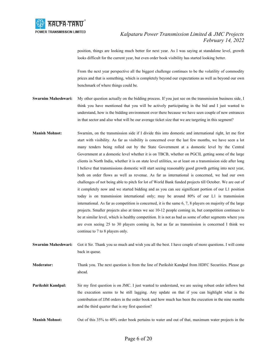

position, things are looking much better for next year. As I was saying at standalone level, growth looks difficult for the current year, but even order book visibility has started looking better.

From the next year perspective all the biggest challenge continues to be the volatility of commodity prices and that is something, which is completely beyond our expectations as well as beyond our own benchmark of where things could be.

- **Swarnim Maheshwari:** My other question actually on the bidding process. If you just see on the transmission business side, I think you have mentioned that you will be actively participating in the bid and I just wanted to understand, how is the bidding environment over there because we have seen couple of new entrances in that sector and also what will be our average ticket size that we are targeting in this segment?
- **Manish Mohnot:** Swarnim, on the transmission side if I divide this into domestic and international right, let me first start with visibility. As far as visibility is concerned over the last few months, we have seen a lot many tenders being rolled out by the State Government at a domestic level by the Central Government at a domestic level whether it is on TBCB, whether on PGCIL getting some of the large clients in North India, whether it is on state level utilities, so at least on a transmission side after long I believe that transmissions domestic will start seeing reasonably good growth getting into next year, both on order flows as well as revenue. As far as international is concerned, we had our own challenges of not being able to pitch for lot of World Bank funded projects till October. We are out of it completely now and we started bidding and as you can see significant portion of our L1 position today is on transmission international only; may be around 80% of our L1 is transmission international. As far as competition is concerned, it is the same 6, 7, 8 players on majority of the large projects. Smaller projects also at times we see 10-12 people coming in, but competition continues to be at similar level, which is healthy competition. It is not as bad as some of other segments where you are even seeing 25 to 30 players coming in, but as far as transmission is concerned I think we continue to 7 to 8 players only.
- **Swarnim Maheshwari:** Got it Sir. Thank you so much and wish you all the best. I have couple of more questions. I will come back in queue.

**Moderator:** Thank you. The next question is from the line of Parikshit Kandpal from HDFC Securities. Please go ahead.

**Parikshit Kandpal:** Sir my first question is on JMC. I just wanted to understand, we are seeing robust order inflows but the execution seems to be still lagging. Any update on that if you can highlight what is the contribution of JJM orders in the order book and how much has been the execution in the nine months and the third quarter that is my first question?

**Manish Mohnot:** Out of this 35% to 40% order book pertains to water and out of that, maximum water projects in the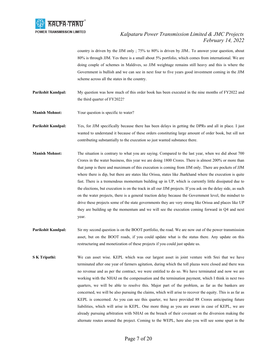

country is driven by the JJM only ; 75% to 80% is driven by JJM.. To answer your question, about 80% is through JJM. Yes there is a small about 5% portfolio, which comes from international. We are doing couple of schemes in Maldives, so JJM weightage remains still heavy and this is where the Government is bullish and we can see in next four to five years good investment coming in the JJM scheme across all the states in the country.

**Parikshit Kandpal:** My question was how much of this order book has been executed in the nine months of FY2022 and the third quarter of FY2022?

**Manish Mohnot:** Your question is specific to water?

**Parikshit Kandpal:** Yes, for JJM specifically because there has been delays in getting the DPRs and all in place. I just wanted to understand it because of these orders constituting large amount of order book, but sill not contributing substantially to the execution so just wanted substance there.

- **Manish Mohnot:** The situation is contrary to what you are saying. Compared to the last year, when we did about 700 Crores in the water business, this year we are doing 1800 Crores. There is almost 200% or more than that jump is there and maximum of this execution is coming from JJM only. There are pockets of JJM where there is dip, but there are states like Orissa, states like Jharkhand where the execution is quite fast. There is a tremendous momentum building up in UP, which is currently little dissipated due to the elections, but execution is on the track in all our JJM projects. If you ask on the delay side, as such on the water projects, there is a general traction delay because the Government level, the mindset to drive these projects some of the state governments they are very strong like Orissa and places like UP they are building up the momentum and we will see the execution coming forward in Q4 and next year.
- **Parikshit Kandpal:** Sir my second question is on the BOOT portfolio, the road. We are now out of the power transmission asset, but on the BOOT roads, if you could update what is the status there. Any update on this restructuring and monetization of these projects if you could just update us.
- **S K Tripathi:** We can asset wise. KEPL which was our largest asset in joint venture with Srei that we have terminated after one year of farmers agitation, during which the toll plazas were closed and there was no revenue and as per the contract, we were entitled to do so. We have terminated and now we are working with the NHAI on the compensation and the termination payment, which I think in next two quarters, we will be able to resolve this. Major part of the problem, as far as the bankers are concerned, we will be also pursuing the claims, which will arise to recover the equity. This is as far as KEPL is concerned. As you can see this quarter, we have provided 88 Crores anticipating future liabilities, which will arise in KEPL. One more thing as you are aware in case of KEPL, we are already pursuing arbitration with NHAI on the breach of their covenant on the diversion making the alternate routes around the project. Coming to the WEPL, here also you will see some spurt in the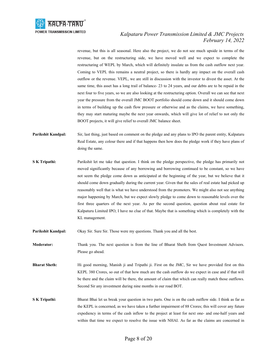

revenue, but this is all seasonal. Here also the project, we do not see much upside in terms of the revenue, but on the restructuring side, we have moved well and we expect to complete the restructuring of WEPL by March, which will definitely insulate us from the cash outflow next year. Coming to VEPL this remains a neutral project, so there is hardly any impact on the overall cash outflow or the revenue. VEPL, we are still in discussion with the investor to divest the asset. At the same time, this asset has a long trail of balance- 23 to 24 years, and our debts are to be repaid in the next four to five years, so we are also looking at the restructuring option. Overall we can see that next year the pressure from the overall JMC BOOT portfolio should come down and it should come down in terms of building up the cash flow pressure or otherwise and as the claims, we have something, they may start maturing maybe the next year onwards, which will give lot of relief to not only the BOOT projects, it will give relief to overall JMC balance sheet.

- **Parikshit Kandpal:** Sir, last thing, just based on comment on the pledge and any plans to IPO the parent entity, Kalpataru Real Estate, any colour there and if that happens then how does the pledge work if they have plans of doing the same.
- **S K Tripathi:** Parikshit let me take that question. I think on the pledge perspective, the pledge has primarily not moved significantly because of any borrowing and borrowing continued to be constant, so we have not seem the pledge come down as anticipated at the beginning of the year, but we believe that it should come down gradually during the current year. Given that the sales of real estate had picked up reasonably well that is what we have understood from the promoters. We might also not see anything major happening by March, but we expect slowly pledge to come down to reasonable levels over the first three quarters of the next year. As per the second question, question about real estate for Kalpaturu Limited IPO, I have no clue of that. Maybe that is something which is completely with the KL management.
- **Parikshit Kandpal:** Okay Sir. Sure Sir. Those were my questions. Thank you and all the best.

**Moderator:** Thank you. The next question is from the line of Bharat Sheth from Quest Investment Advisors. Please go ahead.

- **Bharat Sheth:** Hi good morning, Manish ji and Tripathi ji. First on the JMC, Sir we have provided first on this KEPL 380 Crores, so out of that how much are the cash outflow do we expect in case and if that will be there and the claim will be there, the amount of claim that which can really match those outflows. Second Sir any investment during nine months in our road BOT.
- **S K Tripathi:** Bharat Bhai let us break your question in two parts. One is on the cash outflow side. I think as far as the KEPL is concerned, as we have taken a further impairment of 88 Crores; this will cover any future expediency in terms of the cash inflow to the project at least for next one- and one-half years and within that time we expect to resolve the issue with NHAI. As far as the claims are concerned in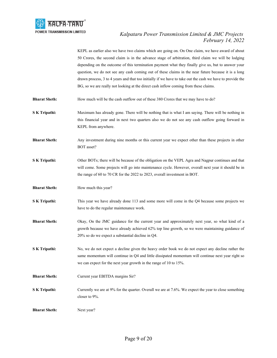

KEPL as earlier also we have two claims which are going on. On One claim, we have award of about 50 Crores, the second claim is in the advance stage of arbitration, third claim we will be lodging depending on the outcome of this termination payment what they finally give us, but to answer your question, we do not see any cash coming out of these claims in the near future because it is a long drawn process, 3 to 4 years and that too initially if we have to take out the cash we have to provide the BG, so we are really not looking at the direct cash inflow coming from these claims.

- **Bharat Sheth:** How much will be the cash outflow out of these 380 Crores that we may have to do?
- **S K Tripathi:** Maximum has already gone. There will be nothing that is what I am saying. There will be nothing in this financial year and in next two quarters also we do not see any cash outflow going forward in KEPL from anywhere.
- **Bharat Sheth:** Any investment during nine months or this current year we expect other than these projects in other BOT asset?
- **S K Tripathi:** Other BOTs; there will be because of the obligation on the VEPL Agra and Nagpur continues and that will come. Some projects will go into maintenance cycle. However, overall next year it should be in the range of 60 to 70 CR for the 2022 to 2023, overall investment in BOT.
- **Bharat Sheth:** How much this year?
- **S K Tripathi:** This year we have already done 113 and some more will come in the Q4 because some projects we have to do the regular maintenance work.
- **Bharat Sheth:** Okay, On the JMC guidance for the current year and approximately next year, so what kind of a growth because we have already achieved 62% top line growth, so we were maintaining guidance of 20% so do we expect a substantial decline in Q4.
- **S K Tripathi:** No, we do not expect a decline given the heavy order book we do not expect any decline rather the same momentum will continue in Q4 and little dissipated momentum will continue next year right so we can expect for the next year growth in the range of 10 to 15%.
- **Bharat Sheth:** Current year EBITDA margins Sir?
- **S K Tripathi:** Currently we are at 9% for the quarter. Overall we are at 7.6%. We expect the year to close something closer to 9%.

**Bharat Sheth:** Next year?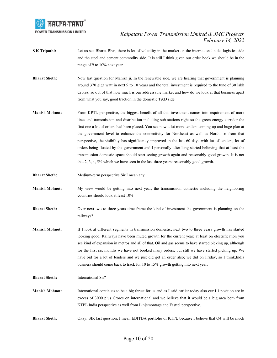

- **S K Tripathi:** Let us see Bharat Bhai, there is lot of volatility in the market on the international side, logistics side and the steel and cement commodity side. It is still I think given our order book we should be in the range of 9 to 10% next year.
- **Bharat Sheth:** Now last question for Manish ji. In the renewable side, we are hearing that government is planning around 370 giga watt in next 9 to 10 years and the total investment is required to the tune of 30 lakh Crores, so out of that how much is our addressable market and how do we look at that business apart from what you say, good traction in the domestic T&D side.
- **Manish Mohnot:** From KPTL perspective, the biggest benefit of all this investment comes into requirement of more lines and transmission and distribution including sub stations right so the green energy corridor the first one a lot of orders had been placed. You see now a lot more tenders coming up and huge plan at the government level to enhance the connectivity for Northeast as well as North, so from that perspective, the visibility has significantly improved in the last 60 days with lot of tenders, lot of orders being floated by the government and I personally after long started believing that at least the transmission domestic space should start seeing growth again and reasonably good growth. It is not that 2, 3, 4, 5% which we have seen in the last three years: reasonably good growth.
- **Bharat Sheth:** Medium-term perspective Sir I mean any.
- **Manish Mohnot:** My view would be getting into next year, the transmission domestic including the neighboring countries should look at least 10%.
- **Bharat Sheth:** Over next two to three years time frame the kind of investment the government is planning on the railways?
- **Manish Mohnot:** If I look at different segments in transmission domestic, next two to three years growth has started looking good. Railways have been muted growth for the current year; at least on electrification you see kind of expansion in metros and all of that. Oil and gas seems to have started picking up, although for the first six months we have not booked many orders, but still we have started picking up. We have bid for a lot of tenders and we just did get an order also; we did on Friday, so I think,India business should come back to track for 10 to 15% growth getting into next year.
- **Bharat Sheth:** International Sir?
- **Manish Mohnot:** International continues to be a big thrust for us and as I said earlier today also our L1 position are in excess of 3000 plus Crores on international and we believe that it would be a big area both from KTPL India perspective as well from Linjemontage and Fasttel perspective.
- **Bharat Sheth:** Okay. SIR last question, I mean EBITDA portfolio of KTPL because I believe that Q4 will be much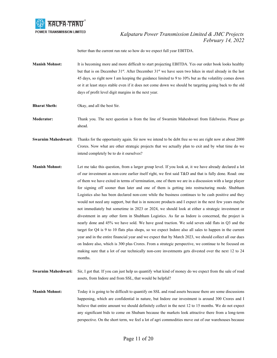

better than the current run rate so how do we expect full year EBITDA.

- **Manish Mohnot:** It is becoming more and more difficult to start projecting EBITDA. Yes our order book looks healthy but that is on December 31<sup>st</sup>. After December 31<sup>st</sup> we have seen two hikes in steel already in the last 45 days, so right now I am keeping the guidance limited to 9 to 10% but as the volatility comes down or it at least stays stable even if it does not come down we should be targeting going back to the old days of profit level digit margins in the next year.
- **Bharat Sheth:** Okay, and all the best Sir.

**Moderator:** Thank you. The next question is from the line of Swarnim Maheshwari from Edelweiss. Please go ahead.

**Swarnim Maheshwari:** Thanks for the opportunity again. Sir now we intend to be debt free so we are right now at about 2000 Crores. Now what are other strategic projects that we actually plan to exit and by what time do we intend completely be to do it ourselves?

- **Manish Mohnot:** Let me take this question, from a larger group level. If you look at, it we have already declared a lot of our investment as non-core earlier itself right, we first said T&D and that is fully done. Road: one of them we have exited in terms of termination, one of them we are in a discussion with a large player for signing off sooner than later and one of them is getting into restructuring mode. Shubham Logistics also has been declared non-core while the business continues to be cash positive and they would not need any support, but that is in noncore products and I expect in the next few years maybe not immediately but sometime in 2023 or 2024, we should look at either a strategic investment or divestment in any other form in Shubham Logistics. As far as Indore is concerned, the project is nearly done and 45% we have sold. We have good traction. We sold seven odd flats in Q3 and the target for Q4 is 9 to 10 flats plus shops, so we expect Indore also all sales to happen in the current year and in the entire financial year and we expect that by March 2023, we should collect all our dues on Indore also, which is 300 plus Crores. From a strategic perspective, we continue to be focused on making sure that a lot of our technically non-core investments gets divested over the next 12 to 24 months.
- **Swarnim Maheshwari:** Sir, I got that. If you can just help us quantify what kind of money do we expect from the sale of road assets, from Indore and from SSL, that would be helpful?
- **Manish Mohnot:** Today it is going to be difficult to quantify on SSL and road assets because there are some discussions happening, which are confidential in nature, but Indore our investment is around 300 Crores and I believe that entire amount we should definitely collect in the next 12 to 15 months. We do not expect any significant bids to come on Shubam because the markets look attractive there from a long-term perspective. On the short term, we feel a lot of agri commodities move out of our warehouses because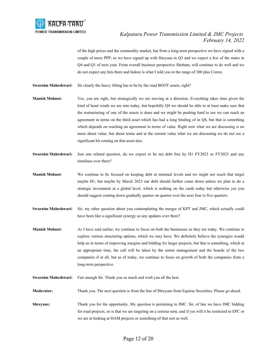

of the high prices and the commodity market, but from a long-term perspective we have signed with a couple of more PPP, so we have signed up with Haryana in Q3 and we expect a few of the states in Q4 and Q1 of next year. From overall business perspective Shubam, will continue to do well and we do not expect any hits there and Indore is what I told you in the range of 300 plus Crores.

**Swarnim Maheshwari:** Sir clearly the heavy lifting has to be by the road BOOT assets, right?

- **Manish Mohnot:** Yes, you are right, but strategically we are moving at a direction. Everything takes time given the kind of head winds we are into today, but hopefully Q4 we should be able to at least make sure that the restructuring of one of the assets is done and we might be pushing hard to see we can reach an agreement in terms on the third asset which has had a long binding of in Q4, but that is something which depends on reaching an agreement in terms of value. Right now what we are discussing is no more about value, but about terms and at the current value what we are discussing we do not see a significant hit coming on that asset also.
- **Swarnim Maheshwari:** Just one related question, do we expect to be net debt free by H1 FY2023 or FY2023 and any timelines over there?
- **Manish Mohnot:** We continue to be focused on keeping debt at minimal levels and we might not reach that target maybe H1, but maybe by March 2023 our debt should further come down unless we plan to do a strategic investment at a global level, which is nothing on the cards today but otherwise yes you should suggest coming down gradually quarter on quarter over the next four to five quarters.
- **Swarnim Maheshwari:** Sir, my other question about you contemplating the merger of KPT and JMC, which actually could have been like a significant synergy so any updates over there?
- **Manish Mohnot:** As I have said earlier, we continue to focus on both the businesses as they are today. We continue to explore various structuring options, which we may have. We definitely believe the synergies would help us in terms of improving margins and bidding for larger projects, but that is something, which at an appropriate time, the call will be taken by the senior management and the boards of the two companies if at all, but as of today, we continue to focus on growth of both the companies from a long-term perspective.

**Swarnim Maheshwari:** Fair enough Sir. Thank you so much and wish you all the best.

**Moderator:** Thank you. The next question is from the line of Shreyans from Equirus Securities. Please go ahead.

**Shreyans:** Thank you for the opportunity. My question is pertaining to JMC. Sir, of late we have JMC bidding for road projects, so is that we are targeting on a serious note, and if yes will it be restricted to EPC or we are at looking at HAM projects or something of that sort as well.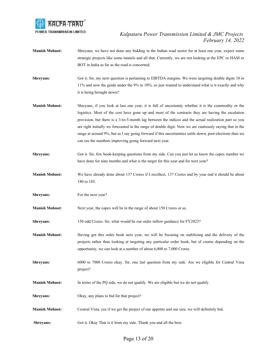

- **Manish Mohnot:** Shreyans, we have not done any bidding in the Indian road sector for at least one year, expect some strategic projects like some tunnels and all that. Currently, we are not looking at the EPC or HAM or BOT in India as far as the road is concerned.
- **Shreyans:** Got it. Sir, my next question is pertaining to EBITDA margins. We were targeting double digits 10 to 11% and now the guide under the 9% to 10%, so just wanted to understand what is it exactly and why it is being brought down?
- **Manish Mohnot:** Shreyans, if you look at last one year, it is full of uncertainty whether it is the commodity or the logistics. Most of the cost have gone up and most of the contracts they are having the escalation provision, but there is a 3-to-5-month lag between the indices and the actual realization part so you are right initially we forecasted in the range of double digit. Now we are cautiously saying that in the range at around 9%, but as I say going forward if this uncertainties settle down, post-elections then we can see the numbers improving going forward next year.
- **Shreyans:** Got it. Sir, few book-keeping questions from my side. Can you just let us know the capex number we have done for nine months and what is the target for this year and for next year?
- **Manish Mohnot:** We have already done about 137 Crores if I recollect, 137 Crores and by year end it should be about 180 to 185.
- **Shreyans:** For the next year?
- **Manish Mohnot:** Next year, the capex will be in the range of about 150 Crores or so.
- **Shreyans:** 150 odd Crores. Sir, what would be our order inflow guidance for FY2023?
- **Manish Mohnot:** Having got this order book next year, we will be focusing on stabilizing and the delivery of the projects rather than looking at targeting any particular order book, but of course depending on the opportunity, we can look at a number of about 6,000 to 7,000 Crores.
- **Shreyans:** 6000 to 7000 Crores okay. Sir, one last question from my side. Are we eligible for Central Vista project?
- **Manish Mohnot:** In terms of the PQ side, we do not qualify. We are eligible but we do not qualify.
- **Shreyans:** Okay, any plans to bid for that project?
- **Manish Mohnot:** Central Vista, yes if we get the project of our appetite and our size, we will definitely bid.
- **Shreyans:** Got it. Okay That is it from my side. Thank you and all the best.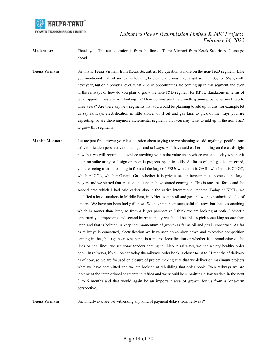

**Moderator:** Thank you. The next question is from the line of Teena Virmani from Kotak Securities. Please go ahead.

- **Teena Virmani** Sir this is Teena Virmani from Kotak Securities. My question is more on the non-T&D segment. Like you mentioned that oil and gas is looking to pickup and you may target around 10% to 15% growth next year, but on a broader level, what kind of opportunities are coming up in this segment and even in the railways or how do you plan to grow the non-T&D segment for KPTL standalone in terms of what opportunities are you looking in? How do you see this growth spanning out over next two to three years? Are there any new segments that you would be planning to add up in this, for example let us say railways electrification is little slower or if oil and gas fails to pick of the ways you are expecting, so are there anymore incremental segments that you may want to add up in the non-T&D to grow this segment?
- **Manish Mohnot:** Let me just first answer your last question about saying are we planning to add anything specific from a diversification perspective oil and gas and railways. As I have said earlier, nothing on the cards right now, but we will continue to explore anything within the value chain where we exist today whether it is on manufacturing or design or specific projects, specific skills. As far as oil and gas is concerned, you are seeing traction coming in from all the large oil PSUs whether it is GAIL, whether it is ONGC, whether IOCL, whether Gujarat Gas, whether it is private sector investment to some of the large players and we started that traction and tenders have started coming in. This is one area for us and the second area which I had said earlier also is the entire international market. Today at KPTL, we qualified a lot of markets in Middle East, in Africa even in oil and gas and we have submitted a lot of tenders. We have not been lucky till now. We have not been successful till now, but that is something which is sooner than later, so from a larger perspective I think we are looking at both. Domestic opportunity is improving and second internationally we should be able to pick something sooner than later, and that is helping us keep that momentum of growth as far as oil and gas is concerned. As far as railways is concerned, electrification we have seen some slow down and excessive competition coming in that, but again on whether it is a metro electrification or whether it is broadening of the lines or new lines, we see some tenders coming in. Also in railways, we had a very healthy order book. In railways, if you look at today the railways order book is closer to 18 to 21 months of delivery as of now, so we are focused on closure of project making sure that we deliver on maximum projects what we have committed and we are looking at rebuilding that order book. Even railways we are looking at the international segments in Africa and we should be submitting a few tenders in the next 3 to 6 months and that would again be an important area of growth for us from a long-term perspective.

**Teena Virmani** Sir, in railways, are we witnessing any kind of payment delays from railways?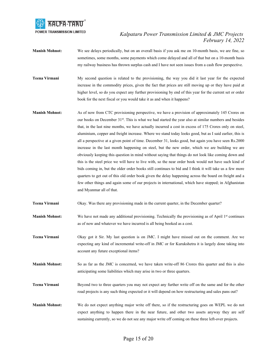

- **Manish Mohnot:** We see delays periodically, but on an overall basis if you ask me on 10-month basis, we are fine, so sometimes, some months, some payments which come delayed and all of that but on a 10-month basis my railway business has thrown surplus cash and I have not seen issues from a cash flow perspective.
- **Teena Virmani** My second question is related to the provisioning, the way you did it last year for the expected increase in the commodity prices, given the fact that prices are still moving up or they have paid at higher level, so do you expect any further provisioning by end of this year for the current set or order book for the next fiscal or you would take it as and when it happens?
- **Manish Mohnot:** As of now from CTC provisioning perspective, we have a provision of approximately 145 Crores on our books on December 31<sup>st</sup>. This is what we had started the year also at similar numbers and besides that, in the last nine months, we have actually incurred a cost in excess of 175 Crores only on steel, aluminium, copper and freight increase. Where we stand today looks good, but as I said earlier, this is all a perspective at a given point of time. December 31, looks good, but again you have seen Rs.2000 increase in the last month happening on steel, but the new order, which we are building we are obviously keeping this question in mind without saying that things do not look like coming down and this is the steel price we will have to live with, so the near order book would not have such kind of bids coming in, but the older order books still continues to bid and I think it will take us a few more quarters to get out of this old order book given the delay happening across the board on freight and a few other things and again some of our projects in international, which have stopped; in Afghanistan and Myanmar all of that.
- **Teena Virmani** Okay. Was there any provisioning made in the current quarter, in the December quarter?
- **Manish Mohnot:** We have not made any additional provisioning. Technically the provisioning as of April 1<sup>st</sup> continues as of now and whatever we have incurred is all being booked as a cost.
- **Teena Virmani** Okay got it Sir. My last question is on JMC. I might have missed out on the comment. Are we expecting any kind of incremental write-off in JMC or for Kurukshetra it is largely done taking into account any future exceptional items?
- **Manish Mohnot:** So as far as the JMC is concerned, we have taken write-off 86 Crores this quarter and this is also anticipating some liabilities which may arise in two or three quarters.
- **Teena Virmani** Beyond two to three quarters you may not expect any further write off on the same and for the other road projects is any such thing expected or it will depend on how restructuring and sales pans out?
- **Manish Mohnot:** We do not expect anything major write off there, so if the restructuring goes on WEPL we do not expect anything to happen there in the near future, and other two assets anyway they are self sustaining currently, so we do not see any major write off coming on these three left-over projects.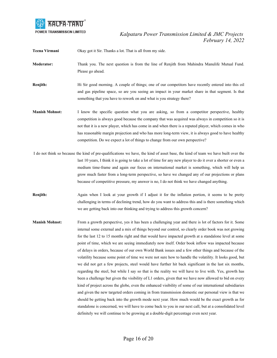

**Teena Virmani** Okay got it Sir. Thanks a lot. That is all from my side.

**Moderator:** Thank you. The next question is from the line of Renjith from Mahindra Manulife Mutual Fund. Please go ahead.

**Renjith:** Hi Sir good morning. A couple of things; one of our competitors have recently entered into this oil and gas pipeline space, so are you seeing an impact in your market share in that segment. Is that something that you have to rework on and what is you strategy there?

**Manish Mohnot:** I know the specific question what you are asking, so from a competitor perspective, healthy competition is always good because the company that was acquired was always in competition so it is not that it is a new player, which has come in and when there is a reputed player, which comes in who has reasonable margin projection and who has more long-term view, it is always good to have healthy competition. Do we expect a lot of things to change from our own perspective?

 I do not think so because the kind of pre-qualifications we have, the kind of asset base, the kind of team we have built over the last 10 years, I think it is going to take a lot of time for any new player to do it over a shorter or even a medium time-frame and again our focus on international market is something, which will help us grow much faster from a long-term perspective, so have we changed any of our projections or plans because of competitive pressure, my answer is no, I do not think we have changed anything.

**Renjith:** Again when I look at your growth if I adjust it for the inflation portion, it seems to be pretty challenging in terms of declining trend, how do you want to address this and is there something which we are getting back into our thinking and trying to address this growth concern?

**Manish Mohnot:** From a growth perspective, yes it has been a challenging year and there is lot of factors for it. Some internal some external and a mix of things beyond our control, so clearly order book was not growing for the last 12 to 15 months right and that would have impacted growth at a standalone level at some point of time, which we are seeing immediately now itself. Order book inflow was impacted because of delays in orders, because of our own World Bank issues and a few other things and because of the volatility because some point of time we were not sure how to handle the volatility. It looks good, but we did not get a few projects, steel would have further hit back significant in the last six months, regarding the steel, but while I say so that is the reality we will have to live with. Yes, growth has been a challenge but given the visibility of L1 orders, given that we have now allowed to bid on every kind of project across the globe, even the enhanced visibility of some of our international subsidiaries and given the new targeted orders coming in from transmission domestic our personal view is that we should be getting back into the growth mode next year. How much would be the exact growth as for standalone is concerned, we will have to come back to you in our next call, but at a consolidated level definitely we will continue to be growing at a double-digit percentage even next year.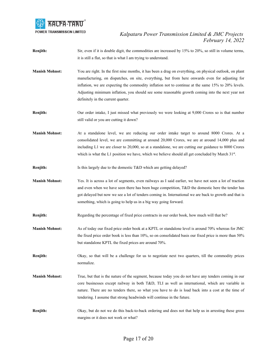

- **Renjith:** Sir, even if it is double digit, the commodities are increased by 15% to 20%, so still in volume terms, it is still a flat, so that is what I am trying to understand.
- **Manish Mohnot:** You are right. In the first nine months, it has been a drag on everything, on physical outlook, on plant manufacturing, on dispatches, on site, everything, but from here onwards even for adjusting for inflation, we are expecting the commodity inflation not to continue at the same 15% to 20% levels. Adjusting minimum inflation, you should see some reasonable growth coming into the next year not definitely in the current quarter.
- **Renjith:** Our order intake, I just missed what previously we were looking at 9,000 Crores so is that number still valid or you are cutting it down?
- **Manish Mohnot:** At a standalone level, we are reducing our order intake target to around 8000 Crores. At a consolidated level, we are committing at around 20,000 Crores, we are at around 14,000 plus and including L1 we are closer to 20,000, so at a standalone, we are cutting our guidance to 8000 Crores which is what the L1 position we have, which we believe should all get concluded by March  $31<sup>st</sup>$ .
- **Renjith:** Is this largely due to the domestic T&D which are getting delayed?
- **Manish Mohnot:** Yes. It is across a lot of segments, even railways as I said earlier, we have not seen a lot of traction and even when we have seen there has been huge competition, T&D the domestic here the tender has got delayed but now we see a lot of tenders coming in. International we are back to growth and that is something, which is going to help us in a big way going forward.
- **Renjith:** Regarding the percentage of fixed price contracts in our order book, how much will that be?
- **Manish Mohnot:** As of today our fixed price order book at a KPTL or standalone level is around 70% whereas for JMC the fixed price order book is less than 10%, so on consolidated basis our fixed price is more than 50% but standalone KPTL the fixed prices are around 70%.
- **Renjith:** Okay, so that will be a challenge for us to negotiate next two quarters, till the commodity prices normalize.
- **Manish Mohnot:** True, but that is the nature of the segment, because today you do not have any tenders coming in our core businesses except railway in both T&D, TLI as well as international, which are variable in nature. There are no tenders there, so what you have to do is load back into a cost at the time of tendering. I assume that strong headwinds will continue in the future.
- **Renjith:** Okay, but do not we do this back-to-back ordering and does not that help us in arresting these gross margins or it does not work or what?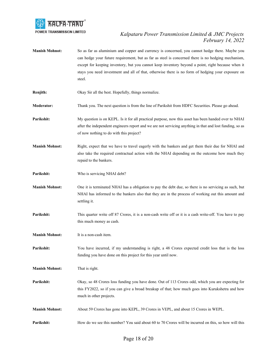

- **Manish Mohnot:** So as far as aluminium and copper and currency is concerned, you cannot hedge there. Maybe you can hedge your future requirement, but as far as steel is concerned there is no hedging mechanism, except for keeping inventory, but you cannot keep inventory beyond a point, right because when it stays you need investment and all of that, otherwise there is no form of hedging your exposure on steel.
- **Renjith:** Okay Sir all the best. Hopefully, things normalize.
- **Moderator:** Thank you. The next question is from the line of Parikshit from HDFC Securities. Please go ahead.
- **Parikshit:** My question is on KEPL. Is it for all practical purpose, now this asset has been handed over to NHAI after the independent engineers report and we are not servicing anything in that and lost funding, so as of now nothing to do with this project?
- **Manish Mohnot:** Right, expect that we have to travel eagerly with the bankers and get them their due for NHAI and also take the required contractual action with the NHAI depending on the outcome how much they repaid to the bankers.
- Parikshit: Who is servicing NHAI debt?
- **Manish Mohnot:** One it is terminated NHAI has a obligation to pay the debt due, so there is no servicing as such, but NHAI has informed to the bankers also that they are in the process of working out this amount and settling it.
- **Parikshit:** This quarter write off 87 Crores, it is a non-cash write off or it is a cash write-off. You have to pay this much money as cash.
- **Manish Mohnot:** It is a non-cash item.
- **Parikshit:** You have incurred, if my understanding is right, a 48 Crores expected credit loss that is the loss funding you have done on this project for this year until now.
- **Manish Mohnot:** That is right.
- **Parikshit:** Okay, so 48 Crores loss funding you have done. Out of 113 Crores odd, which you are expecting for this FY2022, so if you can give a broad breakup of that; how much goes into Kurukshetra and how much in other projects.
- **Manish Mohnot:** About 59 Crores has gone into KEPL, 39 Crores in VEPL, and about 15 Crores in WEPL.
- **Parikshit:** How do we see this number? You said about 60 to 70 Crores will be incurred on this, so how will this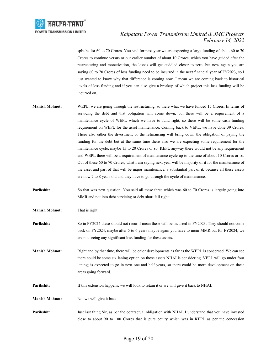

split be for 60 to 70 Crores. You said for next year we are expecting a large funding of about 60 to 70 Crores to continue versus or our earlier number of about 10 Crores, which you have guided after the restructuring and monetization, the losses will get cuddled closer to zero, but now again you are saying 60 to 70 Crores of loss funding need to be incurred in the next financial year of FY2023, so I just wanted to know why that difference is coming now. I mean we are coming back to historical levels of loss funding and if you can also give a breakup of which project this loss funding will be incurred on.

- **Manish Mohnot:** WEPL, we are going through the restructuring, so there what we have funded 15 Crores. In terms of servicing the debt and that obligation will come down, but there will be a requirement of a maintenance cycle of WEPL which we have to fund right, so there will be some cash funding requirement on WEPL for the asset maintenance. Coming back to VEPL, we have done 39 Crores. There also either the divestment or the refinancing will bring down the obligation of paying the funding for the debt but at the same time there also we are expecting some requirement for the maintenance cycle, maybe 15 to 20 Crores or so. KEPL anyway there would not be any requirement and WEPL there will be a requirement of maintenance cycle up to the tune of about 10 Crores or so. Out of these 60 to 70 Crores, what I am saying next year will be majority of it for the maintenance of the asset and part of that will be major maintenance, a substantial part of it, because all these assets are now 7 to 8 years old and they have to go through the cycle of maintenance.
- **Parikshit:** So that was next question. You said all these three which was 60 to 70 Crores is largely going into MMR and not into debt servicing or debt short fall right.

**Manish Mohnot:** That is right.

- **Parikshit:** So in FY2024 these should not recur. I mean these will be incurred in FY2023. They should not come back on FY2024, maybe after 5 to 6 years maybe again you have to incur MMR but for FY2024, we are not seeing any significant loss funding for these assets.
- **Manish Mohnot:** Right and by that time, there will be other developments as far as the WEPL is concerned. We can see there could be some six laning option on those assets NHAI is considering. VEPL will go under four laning; is expected to go in next one and half years, so there could be more development on these areas going forward.

**Parikshit:** If this extension happens, we will look to retain it or we will give it back to NHAI.

**Manish Mohnot:** No, we will give it back.

**Parikshit:** Just last thing Sir, as per the contractual obligation with NHAI, I understand that you have invested close to about 90 to 100 Crores that is pure equity which was in KEPL as per the concession